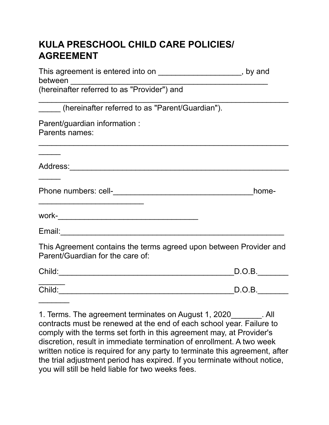## **KULA PRESCHOOL CHILD CARE POLICIES/ AGREEMENT**

| This agreement is entered into on _______________________, by and<br>between ______________________                   |        |
|-----------------------------------------------------------------------------------------------------------------------|--------|
| (hereinafter referred to as "Provider") and                                                                           |        |
| (hereinafter referred to as "Parent/Guardian").                                                                       |        |
| Parent/guardian information :<br>Parents names:                                                                       |        |
|                                                                                                                       |        |
| <u> 1989 - Johann John Stone, markin sanadi ya kutoka mwaka wa 1989 - Amanduki alikuwa mwaka wa 1989 - Amanduki a</u> | home-  |
|                                                                                                                       |        |
| Email: 2008. 2009. 2010. 2010. 2010. 2010. 2010. 2010. 2011. 2012. 2012. 2012. 2014. 2016. 2017. 2017. 2017. 2        |        |
| This Agreement contains the terms agreed upon between Provider and<br>Parent/Guardian for the care of:                |        |
|                                                                                                                       | D.O.B. |
| Child: 2008 2010 2010 2010 2011 2021 2022 2023 2024 2022 2022 2023 2024 2022 2023 2024 2022 2023 2024 2022 20         | D.O.B. |
|                                                                                                                       |        |

1. Terms. The agreement terminates on August 1, 2020 All contracts must be renewed at the end of each school year. Failure to comply with the terms set forth in this agreement may, at Provider's discretion, result in immediate termination of enrollment. A two week written notice is required for any party to terminate this agreement, after the trial adjustment period has expired. If you terminate without notice, you will still be held liable for two weeks fees.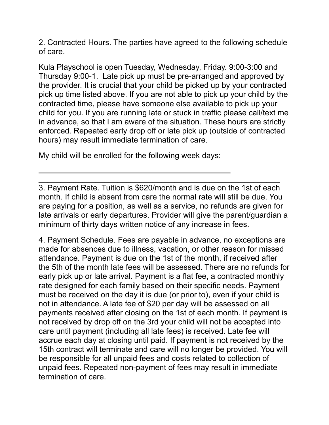2. Contracted Hours. The parties have agreed to the following schedule of care.

Kula Playschool is open Tuesday, Wednesday, Friday. 9:00-3:00 and Thursday 9:00-1. Late pick up must be pre-arranged and approved by the provider. It is crucial that your child be picked up by your contracted pick up time listed above. If you are not able to pick up your child by the contracted time, please have someone else available to pick up your child for you. If you are running late or stuck in traffic please call/text me in advance, so that I am aware of the situation. These hours are strictly enforced. Repeated early drop off or late pick up (outside of contracted hours) may result immediate termination of care.

My child will be enrolled for the following week days:

3. Payment Rate. Tuition is \$620/month and is due on the 1st of each month. If child is absent from care the normal rate will still be due. You are paying for a position, as well as a service, no refunds are given for late arrivals or early departures. Provider will give the parent/guardian a minimum of thirty days written notice of any increase in fees.

 $\frac{1}{2}$  ,  $\frac{1}{2}$  ,  $\frac{1}{2}$  ,  $\frac{1}{2}$  ,  $\frac{1}{2}$  ,  $\frac{1}{2}$  ,  $\frac{1}{2}$  ,  $\frac{1}{2}$  ,  $\frac{1}{2}$  ,  $\frac{1}{2}$  ,  $\frac{1}{2}$  ,  $\frac{1}{2}$  ,  $\frac{1}{2}$  ,  $\frac{1}{2}$  ,  $\frac{1}{2}$  ,  $\frac{1}{2}$  ,  $\frac{1}{2}$  ,  $\frac{1}{2}$  ,  $\frac{1$ 

4. Payment Schedule. Fees are payable in advance, no exceptions are made for absences due to illness, vacation, or other reason for missed attendance. Payment is due on the 1st of the month, if received after the 5th of the month late fees will be assessed. There are no refunds for early pick up or late arrival. Payment is a flat fee, a contracted monthly rate designed for each family based on their specific needs. Payment must be received on the day it is due (or prior to), even if your child is not in attendance. A late fee of \$20 per day will be assessed on all payments received after closing on the 1st of each month. If payment is not received by drop off on the 3rd your child will not be accepted into care until payment (including all late fees) is received. Late fee will accrue each day at closing until paid. If payment is not received by the 15th contract will terminate and care will no longer be provided. You will be responsible for all unpaid fees and costs related to collection of unpaid fees. Repeated non-payment of fees may result in immediate termination of care.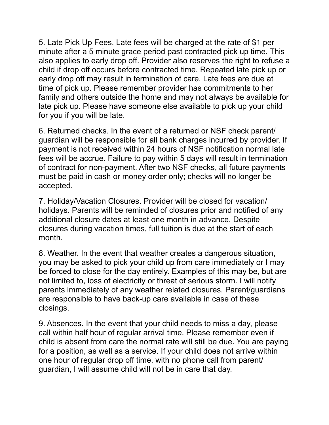5. Late Pick Up Fees. Late fees will be charged at the rate of \$1 per minute after a 5 minute grace period past contracted pick up time. This also applies to early drop off. Provider also reserves the right to refuse a child if drop off occurs before contracted time. Repeated late pick up or early drop off may result in termination of care. Late fees are due at time of pick up. Please remember provider has commitments to her family and others outside the home and may not always be available for late pick up. Please have someone else available to pick up your child for you if you will be late.

6. Returned checks. In the event of a returned or NSF check parent/ guardian will be responsible for all bank charges incurred by provider. If payment is not received within 24 hours of NSF notification normal late fees will be accrue. Failure to pay within 5 days will result in termination of contract for non-payment. After two NSF checks, all future payments must be paid in cash or money order only; checks will no longer be accepted.

7. Holiday/Vacation Closures. Provider will be closed for vacation/ holidays. Parents will be reminded of closures prior and notified of any additional closure dates at least one month in advance. Despite closures during vacation times, full tuition is due at the start of each month.

8. Weather. In the event that weather creates a dangerous situation, you may be asked to pick your child up from care immediately or I may be forced to close for the day entirely. Examples of this may be, but are not limited to, loss of electricity or threat of serious storm. I will notify parents immediately of any weather related closures. Parent/guardians are responsible to have back-up care available in case of these closings.

9. Absences. In the event that your child needs to miss a day, please call within half hour of regular arrival time. Please remember even if child is absent from care the normal rate will still be due. You are paying for a position, as well as a service. If your child does not arrive within one hour of regular drop off time, with no phone call from parent/ guardian, I will assume child will not be in care that day.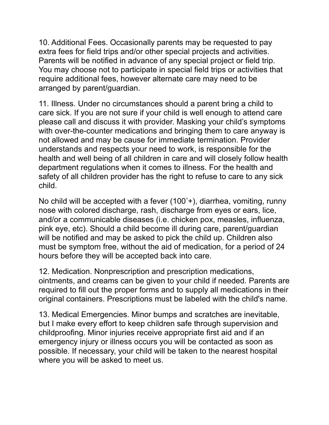10. Additional Fees. Occasionally parents may be requested to pay extra fees for field trips and/or other special projects and activities. Parents will be notified in advance of any special project or field trip. You may choose not to participate in special field trips or activities that require additional fees, however alternate care may need to be arranged by parent/guardian.

11. Illness. Under no circumstances should a parent bring a child to care sick. If you are not sure if your child is well enough to attend care please call and discuss it with provider. Masking your child's symptoms with over-the-counter medications and bringing them to care anyway is not allowed and may be cause for immediate termination. Provider understands and respects your need to work, is responsible for the health and well being of all children in care and will closely follow health department regulations when it comes to illness. For the health and safety of all children provider has the right to refuse to care to any sick child.

No child will be accepted with a fever  $(100<sup>°</sup>)$ , diarrhea, vomiting, runny nose with colored discharge, rash, discharge from eyes or ears, lice, and/or a communicable diseases (i.e. chicken pox, measles, influenza, pink eye, etc). Should a child become ill during care, parent/guardian will be notified and may be asked to pick the child up. Children also must be symptom free, without the aid of medication, for a period of 24 hours before they will be accepted back into care.

12. Medication. Nonprescription and prescription medications, ointments, and creams can be given to your child if needed. Parents are required to fill out the proper forms and to supply all medications in their original containers. Prescriptions must be labeled with the child's name.

13. Medical Emergencies. Minor bumps and scratches are inevitable, but I make every effort to keep children safe through supervision and childproofing. Minor injuries receive appropriate first aid and if an emergency injury or illness occurs you will be contacted as soon as possible. If necessary, your child will be taken to the nearest hospital where you will be asked to meet us.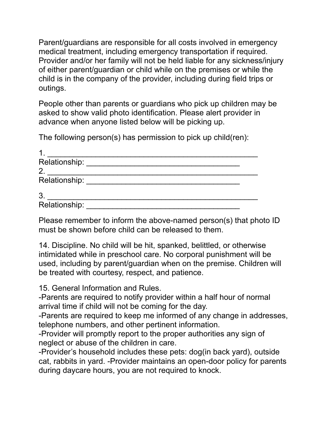Parent/guardians are responsible for all costs involved in emergency medical treatment, including emergency transportation if required. Provider and/or her family will not be held liable for any sickness/injury of either parent/guardian or child while on the premises or while the child is in the company of the provider, including during field trips or outings.

People other than parents or guardians who pick up children may be asked to show valid photo identification. Please alert provider in advance when anyone listed below will be picking up.

The following person(s) has permission to pick up child(ren):

| 1              |  |
|----------------|--|
| Relationship:  |  |
| $\overline{2}$ |  |
| Relationship:  |  |
|                |  |
| 3              |  |
| Relationship:  |  |

Please remember to inform the above-named person(s) that photo ID must be shown before child can be released to them.

14. Discipline. No child will be hit, spanked, belittled, or otherwise intimidated while in preschool care. No corporal punishment will be used, including by parent/guardian when on the premise. Children will be treated with courtesy, respect, and patience.

15. General Information and Rules.

-Parents are required to notify provider within a half hour of normal arrival time if child will not be coming for the day.

-Parents are required to keep me informed of any change in addresses, telephone numbers, and other pertinent information.

-Provider will promptly report to the proper authorities any sign of neglect or abuse of the children in care.

-Provider's household includes these pets: dog(in back yard), outside cat, rabbits in yard. -Provider maintains an open-door policy for parents during daycare hours, you are not required to knock.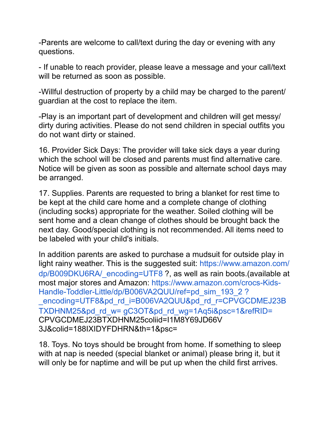-Parents are welcome to call/text during the day or evening with any questions.

- If unable to reach provider, please leave a message and your call/text will be returned as soon as possible.

-Willful destruction of property by a child may be charged to the parent/ guardian at the cost to replace the item.

-Play is an important part of development and children will get messy/ dirty during activities. Please do not send children in special outfits you do not want dirty or stained.

16. Provider Sick Days: The provider will take sick days a year during which the school will be closed and parents must find alternative care. Notice will be given as soon as possible and alternate school days may be arranged.

17. Supplies. Parents are requested to bring a blanket for rest time to be kept at the child care home and a complete change of clothing (including socks) appropriate for the weather. Soiled clothing will be sent home and a clean change of clothes should be brought back the next day. Good/special clothing is not recommended. All items need to be labeled with your child's initials.

In addition parents are asked to purchase a mudsuit for outside play in light rainy weather. This is the suggested suit: https://www.amazon.com/ dp/B009DKU6RA/\_encoding=UTF8 ?, as well as rain boots.(available at most major stores and Amazon: https://www.amazon.com/crocs-Kids-Handle-Toddler-Little/dp/B006VA2QUU/ref=pd\_sim\_193\_2 ? encoding=UTF8&pd\_rd\_i=B006VA2QUU&pd\_rd\_r=CPVGCDMEJ23B TXDHNM25&pd\_rd\_w= gC3OT&pd\_rd\_wg=1Aq5i&psc=1&refRID= CPVGCDMEJ23BTXDHNM25coliid=I1M8Y69JD66V 3J&colid=188IXIDYFDHRN&th=1&psc=

18. Toys. No toys should be brought from home. If something to sleep with at nap is needed (special blanket or animal) please bring it, but it will only be for naptime and will be put up when the child first arrives.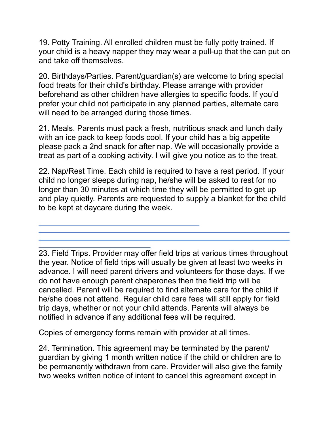19. Potty Training. All enrolled children must be fully potty trained. If your child is a heavy napper they may wear a pull-up that the can put on and take off themselves.

20. Birthdays/Parties. Parent/guardian(s) are welcome to bring special food treats for their child's birthday. Please arrange with provider beforehand as other children have allergies to specific foods. If you'd prefer your child not participate in any planned parties, alternate care will need to be arranged during those times.

21. Meals. Parents must pack a fresh, nutritious snack and lunch daily with an ice pack to keep foods cool. If your child has a big appetite please pack a 2nd snack for after nap. We will occasionally provide a treat as part of a cooking activity. I will give you notice as to the treat.

22. Nap/Rest Time. Each child is required to have a rest period. If your child no longer sleeps during nap, he/she will be asked to rest for no longer than 30 minutes at which time they will be permitted to get up and play quietly. Parents are requested to supply a blanket for the child to be kept at daycare during the week.

23. Field Trips. Provider may offer field trips at various times throughout the year. Notice of field trips will usually be given at least two weeks in advance. I will need parent drivers and volunteers for those days. If we do not have enough parent chaperones then the field trip will be cancelled. Parent will be required to find alternate care for the child if he/she does not attend. Regular child care fees will still apply for field trip days, whether or not your child attends. Parents will always be notified in advance if any additional fees will be required.

Copies of emergency forms remain with provider at all times.

24. Termination. This agreement may be terminated by the parent/ guardian by giving 1 month written notice if the child or children are to be permanently withdrawn from care. Provider will also give the family two weeks written notice of intent to cancel this agreement except in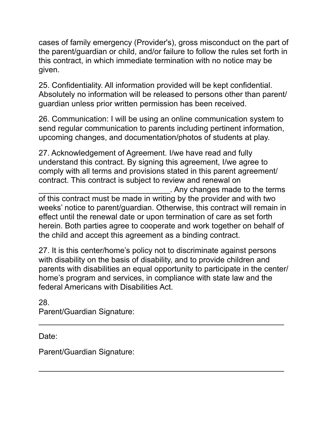cases of family emergency (Provider's), gross misconduct on the part of the parent/guardian or child, and/or failure to follow the rules set forth in this contract, in which immediate termination with no notice may be given.

25. Confidentiality. All information provided will be kept confidential. Absolutely no information will be released to persons other than parent/ guardian unless prior written permission has been received.

26. Communication: I will be using an online communication system to send regular communication to parents including pertinent information, upcoming changes, and documentation/photos of students at play.

27. Acknowledgement of Agreement. I/we have read and fully understand this contract. By signing this agreement, I/we agree to comply with all terms and provisions stated in this parent agreement/ contract. This contract is subject to review and renewal on \_\_\_\_\_\_\_\_\_\_\_\_\_\_\_\_\_\_\_\_\_\_\_\_\_\_\_\_\_\_. Any changes made to the terms of this contract must be made in writing by the provider and with two weeks' notice to parent/guardian. Otherwise, this contract will remain in effect until the renewal date or upon termination of care as set forth herein. Both parties agree to cooperate and work together on behalf of the child and accept this agreement as a binding contract.

27. It is this center/home's policy not to discriminate against persons with disability on the basis of disability, and to provide children and parents with disabilities an equal opportunity to participate in the center/ home's program and services, in compliance with state law and the federal Americans with Disabilities Act.

\_\_\_\_\_\_\_\_\_\_\_\_\_\_\_\_\_\_\_\_\_\_\_\_\_\_\_\_\_\_\_\_\_\_\_\_\_\_\_\_\_\_\_\_\_\_\_\_\_\_\_\_\_\_\_\_

\_\_\_\_\_\_\_\_\_\_\_\_\_\_\_\_\_\_\_\_\_\_\_\_\_\_\_\_\_\_\_\_\_\_\_\_\_\_\_\_\_\_\_\_\_\_\_\_\_\_\_\_\_\_\_\_

28. Parent/Guardian Signature:

Date:

Parent/Guardian Signature: